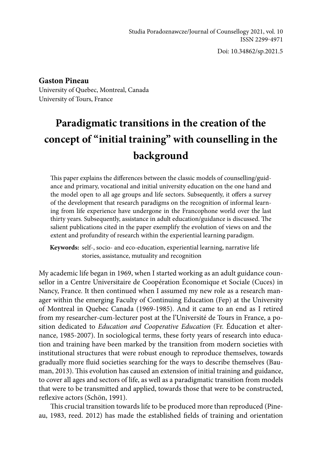Studia Poradoznawcze/Journal of Counsellogy 2021, vol. 10 ISSN 2299-4971

Doi: 10.34862/sp.2021.5

## **Gaston Pineau**

University of Quebec, Montreal, Canada University of Tours, France

# **Paradigmatic transitions in the creation of the concept of "initial training" with counselling in the background**

This paper explains the differences between the classic models of counselling/guidance and primary, vocational and initial university education on the one hand and the model open to all age groups and life sectors. Subsequently, it offers a survey of the development that research paradigms on the recognition of informal learning from life experience have undergone in the Francophone world over the last thirty years. Subsequently, assistance in adult education/guidance is discussed. The salient publications cited in the paper exemplify the evolution of views on and the extent and profundity of research within the experiential learning paradigm.

**Keywords:** self-, socio- and eco-education, experiential learning, narrative life stories, assistance, mutuality and recognition

My academic life began in 1969, when I started working as an adult guidance counsellor in a Centre Universitaire de Coopération Économique et Sociale (Cuces) in Nancy, France. It then continued when I assumed my new role as a research manager within the emerging Faculty of Continuing Education (Fep) at the University of Montreal in Quebec Canada (1969-1985). And it came to an end as I retired from my researcher-cum-lecturer post at the l'Université de Tours in France, a position dedicated to *Education and Cooperative Education* (Fr. Éducation et alternance, 1985-2007). In sociological terms, these forty years of research into education and training have been marked by the transition from modern societies with institutional structures that were robust enough to reproduce themselves, towards gradually more fluid societies searching for the ways to describe themselves (Bauman, 2013). This evolution has caused an extension of initial training and guidance, to cover all ages and sectors of life, as well as a paradigmatic transition from models that were to be transmitted and applied, towards those that were to be constructed, reflexive actors (Schön, 1991).

This crucial transition towards life to be produced more than reproduced (Pineau, 1983, reed. 2012) has made the established fields of training and orientation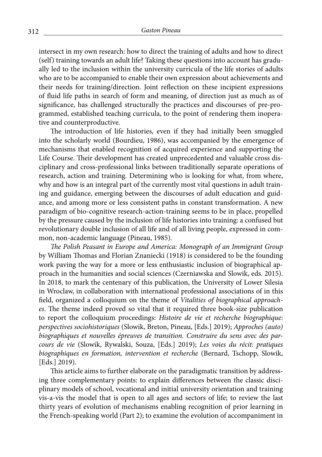intersect in my own research: how to direct the training of adults and how to direct (self) training towards an adult life? Taking these questions into account has gradually led to the inclusion within the university curricula of the life stories of adults who are to be accompanied to enable their own expression about achievements and their needs for training/direction. Joint reflection on these incipient expressions of fluid life paths in search of form and meaning, of direction just as much as of significance, has challenged structurally the practices and discourses of pre-programmed, established teaching curricula, to the point of rendering them inoperative and counterproductive.

The introduction of life histories, even if they had initially been smuggled into the scholarly world (Bourdieu, 1986), was accompanied by the emergence of mechanisms that enabled recognition of acquired experience and supporting the Life Course. Their development has created unprecedented and valuable cross disciplinary and cross-professional links between traditionally separate operations of research, action and training. Determining who is looking for what, from where, why and how is an integral part of the currently most vital questions in adult training and guidance, emerging between the discourses of adult education and guidance, and among more or less consistent paths in constant transformation. A new paradigm of bio-cognitive research-action-training seems to be in place, propelled by the pressure caused by the inclusion of life histories into training: a confused but revolutionary double inclusion of all life and of all living people, expressed in common, non-academic language (Pineau, 1985).

*The Polish Peasant in Europe and America: Monograph of an Immigrant Group* by William Thomas and Florian Znaniecki (1918) is considered to be the founding work paving the way for a more or less enthusiastic inclusion of biographical approach in the humanities and social sciences (Czerniawska and Slowik, eds. 2015). In 2018, to mark the centenary of this publication, the University of Lower Silesia in Wroclaw, in collaboration with international professional associations of in this field, organized a colloquium on the theme of *Vitalities of biographical approaches*. The theme indeed proved so vital that it required three book-size publication to report the colloquium proceedings: *Histoire de vie et recherche biographique: perspectives sociohistoriques* (Slowik, Breton, Pineau, [Eds.] 2019); *Approches (auto) biographiques et nouvelles épreuves de transition. Construire du sens avec des parcours de vie* (Slowik, Rywalski, Souza, [Eds.] 2019); *Les voies du récit: pratiques biographiques en formation, intervention et recherche* (Bernard, Tschopp, Slowik, [Eds.] 2019).

This article aims to further elaborate on the paradigmatic transition by addressing three complementary points: to explain differences between the classic disciplinary models of school, vocational and initial university orientation and training vis-a-vis the model that is open to all ages and sectors of life; to review the last thirty years of evolution of mechanisms enabling recognition of prior learning in the French-speaking world (Part 2); to examine the evolution of accompaniment in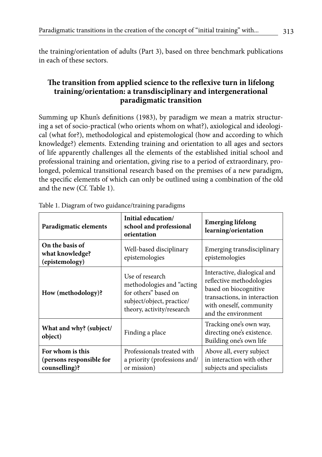the training/orientation of adults (Part 3), based on three benchmark publications in each of these sectors.

# **The transition from applied science to the reflexive turn in lifelong training/orientation: a transdisciplinary and intergenerational paradigmatic transition**

Summing up Khun's definitions (1983), by paradigm we mean a matrix structuring a set of socio-practical (who orients whom on what?), axiological and ideological (what for?), methodological and epistemological (how and according to which knowledge?) elements. Extending training and orientation to all ages and sectors of life apparently challenges all the elements of the established initial school and professional training and orientation, giving rise to a period of extraordinary, prolonged, polemical transitional research based on the premises of a new paradigm, the specific elements of which can only be outlined using a combination of the old and the new (Cf. Table 1).

| Paradigmatic elements                                         | Initial education/<br><b>Emerging lifelong</b><br>school and professional<br>learning/orientation<br>orientation               |                                                                                                                                                                    |  |
|---------------------------------------------------------------|--------------------------------------------------------------------------------------------------------------------------------|--------------------------------------------------------------------------------------------------------------------------------------------------------------------|--|
| On the basis of<br>what knowledge?<br>(epistemology)          | Well-based disciplinary<br>epistemologies                                                                                      | Emerging transdisciplinary<br>epistemologies                                                                                                                       |  |
| How (methodology)?                                            | Use of research<br>methodologies and "acting<br>for others" based on<br>subject/object, practice/<br>theory, activity/research | Interactive, dialogical and<br>reflective methodologies<br>based on biocognitive<br>transactions, in interaction<br>with oneself, community<br>and the environment |  |
| What and why? (subject/<br>object)                            | Finding a place                                                                                                                | Tracking one's own way,<br>directing one's existence.<br>Building one's own life                                                                                   |  |
| For whom is this<br>(persons responsible for<br>counselling)? | Professionals treated with<br>a priority (professions and/<br>or mission)                                                      | Above all, every subject<br>in interaction with other<br>subjects and specialists                                                                                  |  |

|  |  | Table 1. Diagram of two guidance/training paradigms |
|--|--|-----------------------------------------------------|
|  |  |                                                     |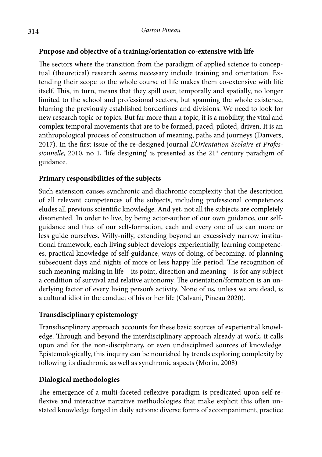## **Purpose and objective of a training/orientation co-extensive with life**

The sectors where the transition from the paradigm of applied science to conceptual (theoretical) research seems necessary include training and orientation. Extending their scope to the whole course of life makes them co-extensive with life itself. This, in turn, means that they spill over, temporally and spatially, no longer limited to the school and professional sectors, but spanning the whole existence, blurring the previously established borderlines and divisions. We need to look for new research topic or topics. But far more than a topic, it is a mobility, the vital and complex temporal movements that are to be formed, paced, piloted, driven. It is an anthropological process of construction of meaning, paths and journeys (Danvers, 2017). In the first issue of the re-designed journal *L'Orientation Scolaire et Professionnelle*, 2010, no 1, 'life designing' is presented as the  $21<sup>st</sup>$  century paradigm of guidance.

## **Primary responsibilities of the subjects**

Such extension causes synchronic and diachronic complexity that the description of all relevant competences of the subjects, including professional competences eludes all previous scientific knowledge. And yet, not all the subjects are completely disoriented. In order to live, by being actor-author of our own guidance, our selfguidance and thus of our self-formation, each and every one of us can more or less guide ourselves. Willy-nilly, extending beyond an excessively narrow institutional framework, each living subject develops experientially, learning competences, practical knowledge of self-guidance, ways of doing, of becoming, of planning subsequent days and nights of more or less happy life period. The recognition of such meaning-making in life – its point, direction and meaning – is for any subject a condition of survival and relative autonomy. The orientation/formation is an underlying factor of every living person's activity. None of us, unless we are dead, is a cultural idiot in the conduct of his or her life (Galvani, Pineau 2020).

# **Transdisciplinary epistemology**

Transdisciplinary approach accounts for these basic sources of experiential knowledge. Through and beyond the interdisciplinary approach already at work, it calls upon and for the non-disciplinary, or even undisciplined sources of knowledge. Epistemologically, this inquiry can be nourished by trends exploring complexity by following its diachronic as well as synchronic aspects (Morin, 2008)

# **Dialogical methodologies**

The emergence of a multi-faceted reflexive paradigm is predicated upon self-reflexive and interactive narrative methodologies that make explicit this often unstated knowledge forged in daily actions: diverse forms of accompaniment, practice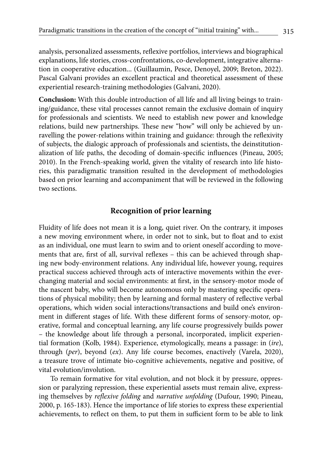analysis, personalized assessments, reflexive portfolios, interviews and biographical explanations, life stories, cross-confrontations, co-development, integrative alternation in cooperative education... (Guillaumin, Pesce, Denoyel, 2009; Breton, 2022). Pascal Galvani provides an excellent practical and theoretical assessment of these experiential research-training methodologies (Galvani, 2020).

**Conclusion:** With this double introduction of all life and all living beings to training/guidance, these vital processes cannot remain the exclusive domain of inquiry for professionals and scientists. We need to establish new power and knowledge relations, build new partnerships. These new "how" will only be achieved by unravelling the power-relations within training and guidance: through the reflexivity of subjects, the dialogic approach of professionals and scientists, the deinstitutionalization of life paths, the decoding of domain-specific influences (Pineau, 2005; 2010). In the French-speaking world, given the vitality of research into life histories, this paradigmatic transition resulted in the development of methodologies based on prior learning and accompaniment that will be reviewed in the following two sections.

#### **Recognition of prior learning**

Fluidity of life does not mean it is a long, quiet river. On the contrary, it imposes a new moving environment where, in order not to sink, but to float and to exist as an individual, one must learn to swim and to orient oneself according to movements that are, first of all, survival reflexes – this can be achieved through shaping new body-environment relations. Any individual life, however young, requires practical success achieved through acts of interactive movements within the everchanging material and social environments: at first, in the sensory-motor mode of the nascent baby, who will become autonomous only by mastering specific operations of physical mobility; then by learning and formal mastery of reflective verbal operations, which widen social interactions/transactions and build one's environment in different stages of life. With these different forms of sensory-motor, operative, formal and conceptual learning, any life course progressively builds power – the knowledge about life through a personal, incorporated, implicit experiential formation (Kolb, 1984). Experience, etymologically, means a passage: in (*ire*), through (*per*), beyond (*ex*). Any life course becomes, enactively (Varela, 2020), a treasure trove of intimate bio-cognitive achievements, negative and positive, of vital evolution/involution.

To remain formative for vital evolution, and not block it by pressure, oppression or paralyzing repression, these experiential assets must remain alive, expressing themselves by *reflexive folding* and *narrative unfolding* (Dufour, 1990; Pineau, 2000, p. 165-183). Hence the importance of life stories to express these experiential achievements, to reflect on them, to put them in sufficient form to be able to link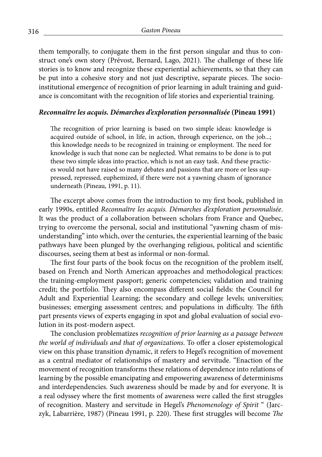them temporally, to conjugate them in the first person singular and thus to construct one's own story (Prévost, Bernard, Lago, 2021). The challenge of these life stories is to know and recognize these experiential achievements, so that they can be put into a cohesive story and not just descriptive, separate pieces. The socioinstitutional emergence of recognition of prior learning in adult training and guidance is concomitant with the recognition of life stories and experiential training.

#### *Reconnaître les acquis. Démarches d'exploration personnalisée* **(Pineau 1991)**

The recognition of prior learning is based on two simple ideas: knowledge is acquired outside of school, in life, in action, through experience, on the job...; this knowledge needs to be recognized in training or employment. The need for knowledge is such that none can be neglected. What remains to be done is to put these two simple ideas into practice, which is not an easy task. And these practices would not have raised so many debates and passions that are more or less suppressed, repressed, euphemized, if there were not a yawning chasm of ignorance underneath (Pineau, 1991, p. 11).

The excerpt above comes from the introduction to my first book, published in early 1990s, entitled *Reconnaître les acquis. Démarches d'exploration personnalisée*. It was the product of a collaboration between scholars from France and Quebec, trying to overcome the personal, social and institutional "yawning chasm of misunderstanding" into which, over the centuries, the experiential learning of the basic pathways have been plunged by the overhanging religious, political and scientific discourses, seeing them at best as informal or non-formal.

The first four parts of the book focus on the recognition of the problem itself, based on French and North American approaches and methodological practices: the training-employment passport; generic competencies; validation and training credit; the portfolio. They also encompass different social fields: the Council for Adult and Experiential Learning; the secondary and college levels; universities; businesses; emerging assessment centres; and populations in difficulty. The fifth part presents views of experts engaging in spot and global evaluation of social evolution in its post-modern aspect.

The conclusion problematizes *recognition of prior learning as a passage between the world of individuals and that of organizations*. To offer a closer epistemological view on this phase transition dynamic, it refers to Hegel's recognition of movement as a central mediator of relationships of mastery and servitude. "Enaction of the movement of recognition transforms these relations of dependence into relations of learning by the possible emancipating and empowering awareness of determinisms and interdependencies. Such awareness should be made by and for everyone. It is a real odyssey where the first moments of awareness were called the first struggles of recognition. Mastery and servitude in Hegel's *Phenomenology of Spirit* " (Jarczyk, Labarrière, 1987) (Pineau 1991, p. 220). These first struggles will become *The*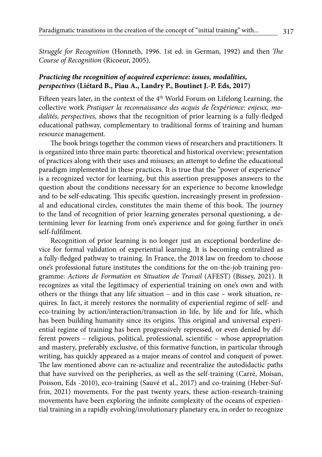*Struggle for Recognition* (Honneth, 1996. 1st ed. in German, 1992) and then *The Course of Recognition* (Ricoeur, 2005).

### *Practicing the recognition of acquired experience: issues, modalities, perspectives* **(Liétard B., Piau A., Landry P., Boutinet J.-P. Eds, 2017)**

Fifteen years later, in the context of the 4<sup>th</sup> World Forum on Lifelong Learning, the collective work *Pratiquer la reconnaissance des acquis de l'expérience: enjeux, modalités, perspectives,* shows that the recognition of prior learning is a fully-fledged educational pathway, complementary to traditional forms of training and human resource management.

The book brings together the common views of researchers and practitioners. It is organized into three main parts: theoretical and historical overview; presentation of practices along with their uses and misuses; an attempt to define the educational paradigm implemented in these practices. It is true that the "power of experience" is a recognized vector for learning, but this assertion presupposes answers to the question about the conditions necessary for an experience to become knowledge and to be self-educating. This specific question, increasingly present in professional and educational circles, constitutes the main theme of this book. The journey to the land of recognition of prior learning generates personal questioning, a determining lever for learning from one's experience and for going further in one's self-fulfilment.

Recognition of prior learning is no longer just an exceptional borderline device for formal validation of experiential learning. It is becoming centralized as a fully-fledged pathway to training. In France, the 2018 law on freedom to choose one's professional future institutes the conditions for the on-the-job training programme: *Actions de Formation en Situation de Travail* (AFEST) (Bissey, 2021). It recognizes as vital the legitimacy of experiential training on one's own and with others or the things that any life situation – and in this case – work situation, requires. In fact, it merely restores the normality of experiential regime of self- and eco-training by action/interaction/transaction in life, by life and for life, which has been building humanity since its origins. This original and universal experiential regime of training has been progressively repressed, or even denied by different powers – religious, political, professional, scientific – whose appropriation and mastery, preferably exclusive, of this formative function, in particular through writing, has quickly appeared as a major means of control and conquest of power. The law mentioned above can re-actualize and recentralize the autodidactic paths that have survived on the peripheries, as well as the self-training (Carré, Moisan, Poisson, Eds -2010), eco-training (Sauvé et al., 2017) and co-training (Heber-Suffrin, 2021) movements. For the past twenty years, these action-research-training movements have been exploring the infinite complexity of the oceans of experiential training in a rapidly evolving/involutionary planetary era, in order to recognize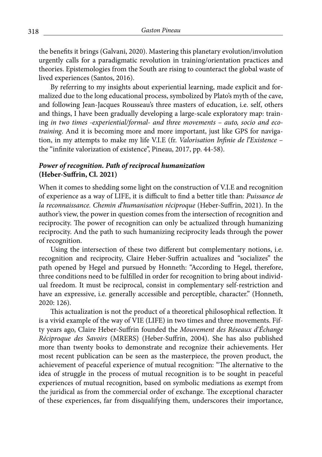the benefits it brings (Galvani, 2020). Mastering this planetary evolution/involution urgently calls for a paradigmatic revolution in training/orientation practices and theories. Epistemologies from the South are rising to counteract the global waste of lived experiences (Santos, 2016).

By referring to my insights about experiential learning, made explicit and formalized due to the long educational process, symbolized by Plato's myth of the cave, and following Jean-Jacques Rousseau's three masters of education, i.e. self, others and things, I have been gradually developing a large-scale exploratory map: training *in two times -experiential/formal- and three movements – auto, socio and ecotraining*. And it is becoming more and more important, just like GPS for navigation, in my attempts to make my life V.I.E (fr. *Valorisation Infinie de l'Existence* – the "infinite valorization of existence", Pineau, 2017, pp. 44-58).

## *Power of recognition. Path of reciprocal humanization* **(Heber-Suffrin, Cl. 2021)**

When it comes to shedding some light on the construction of V.I.E and recognition of experience as a way of LIFE, it is difficult to find a better title than: *Puissance de la reconnaissance. Chemin d'humanisation réciproque* (Heber-Suffrin, 2021). In the author's view, the power in question comes from the intersection of recognition and reciprocity. The power of recognition can only be actualized through humanizing reciprocity. And the path to such humanizing reciprocity leads through the power of recognition.

Using the intersection of these two different but complementary notions, i.e. recognition and reciprocity, Claire Heber-Suffrin actualizes and "socializes" the path opened by Hegel and pursued by Honneth: "According to Hegel, therefore, three conditions need to be fulfilled in order for recognition to bring about individual freedom. It must be reciprocal, consist in complementary self-restriction and have an expressive, i.e. generally accessible and perceptible, character." (Honneth, 2020: 126).

This actualization is not the product of a theoretical philosophical reflection. It is a vivid example of the way of VIE (LIFE) in two times and three movements. Fifty years ago, Claire Heber-Suffrin founded the *Mouvement des Réseaux d'Échange Réciproque des Savoirs* (MRERS) (Heber-Suffrin, 2004). She has also published more than twenty books to demonstrate and recognize their achievements. Her most recent publication can be seen as the masterpiece, the proven product, the achievement of peaceful experience of mutual recognition: "The alternative to the idea of struggle in the process of mutual recognition is to be sought in peaceful experiences of mutual recognition, based on symbolic mediations as exempt from the juridical as from the commercial order of exchange. The exceptional character of these experiences, far from disqualifying them, underscores their importance,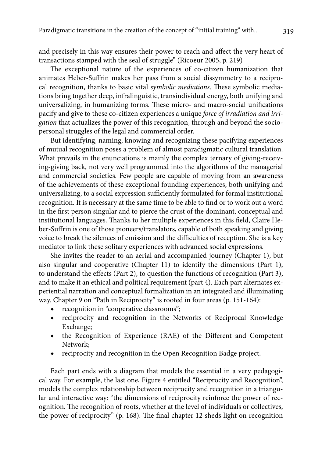and precisely in this way ensures their power to reach and affect the very heart of transactions stamped with the seal of struggle" (Ricoeur 2005, p. 219)

The exceptional nature of the experiences of co-citizen humanization that animates Heber-Suffrin makes her pass from a social dissymmetry to a reciprocal recognition, thanks to basic vital *symbolic mediations*. These symbolic mediations bring together deep, infralinguistic, transindividual energy, both unifying and universalizing, in humanizing forms. These micro- and macro-social unifications pacify and give to these co-citizen experiences a unique *force of irradiation and irrigation* that actualizes the power of this recognition, through and beyond the sociopersonal struggles of the legal and commercial order.

But identifying, naming, knowing and recognizing these pacifying experiences of mutual recognition poses a problem of almost paradigmatic cultural translation. What prevails in the enunciations is mainly the complex ternary of giving-receiving-giving back, not very well programmed into the algorithms of the managerial and commercial societies. Few people are capable of moving from an awareness of the achievements of these exceptional founding experiences, both unifying and universalizing, to a social expression sufficiently formulated for formal institutional recognition. It is necessary at the same time to be able to find or to work out a word in the first person singular and to pierce the crust of the dominant, conceptual and institutional languages. Thanks to her multiple experiences in this field, Claire Heber-Suffrin is one of those pioneers/translators, capable of both speaking and giving voice to break the silences of emission and the difficulties of reception. She is a key mediator to link these solitary experiences with advanced social expressions.

She invites the reader to an aerial and accompanied journey (Chapter 1), but also singular and cooperative (Chapter 11) to identify the dimensions (Part 1), to understand the effects (Part 2), to question the functions of recognition (Part 3), and to make it an ethical and political requirement (part 4). Each part alternates experiential narration and conceptual formalization in an integrated and illuminating way. Chapter 9 on "Path in Reciprocity" is rooted in four areas (p. 151-164):

- recognition in "cooperative classrooms";
- ◆ reciprocity and recognition in the Networks of Reciprocal Knowledge Exchange;
- ◆ the Recognition of Experience (RAE) of the Different and Competent Network;
- reciprocity and recognition in the Open Recognition Badge project.

Each part ends with a diagram that models the essential in a very pedagogical way. For example, the last one, Figure 4 entitled "Reciprocity and Recognition", models the complex relationship between reciprocity and recognition in a triangular and interactive way*:* "the dimensions of reciprocity reinforce the power of recognition. The recognition of roots, whether at the level of individuals or collectives, the power of reciprocity" (p. 168). The final chapter 12 sheds light on recognition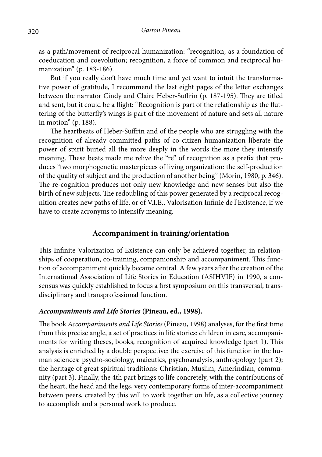as a path/movement of reciprocal humanization: "recognition, as a foundation of coeducation and coevolution; recognition, a force of common and reciprocal humanization" (p. 183-186).

But if you really don't have much time and yet want to intuit the transformative power of gratitude, I recommend the last eight pages of the letter exchanges between the narrator Cindy and Claire Heber-Suffrin (p. 187-195). They are titled and sent, but it could be a flight: "Recognition is part of the relationship as the fluttering of the butterfly's wings is part of the movement of nature and sets all nature in motion" (p. 188).

The heartbeats of Heber-Suffrin and of the people who are struggling with the recognition of already committed paths of co-citizen humanization liberate the power of spirit buried all the more deeply in the words the more they intensify meaning. These beats made me relive the "re" of recognition as a prefix that produces "two morphogenetic masterpieces of living organization: the self-production of the quality of subject and the production of another being" (Morin, 1980, p. 346). The re-cognition produces not only new knowledge and new senses but also the birth of new subjects. The redoubling of this power generated by a reciprocal recognition creates new paths of life, or of V.I.E., Valorisation Infinie de l'Existence, if we have to create acronyms to intensify meaning.

#### **Accompaniment in training/orientation**

This Infinite Valorization of Existence can only be achieved together, in relationships of cooperation, co-training, companionship and accompaniment. This function of accompaniment quickly became central. A few years after the creation of the International Association of Life Stories in Education (ASIHVIF) in 1990, a consensus was quickly established to focus a first symposium on this transversal, transdisciplinary and transprofessional function.

#### *Accompaniments and Life Stories* **(Pineau, ed., 1998).**

The book *Accompaniments and Life Stories* (Pineau, 1998) analyses, for the first time from this precise angle, a set of practices in life stories: children in care, accompaniments for writing theses, books, recognition of acquired knowledge (part 1). This analysis is enriched by a double perspective: the exercise of this function in the human sciences: psycho-sociology, maieutics, psychoanalysis, anthropology (part 2); the heritage of great spiritual traditions: Christian, Muslim, Amerindian, community (part 3). Finally, the 4th part brings to life concretely, with the contributions of the heart, the head and the legs, very contemporary forms of inter-accompaniment between peers, created by this will to work together on life, as a collective journey to accomplish and a personal work to produce.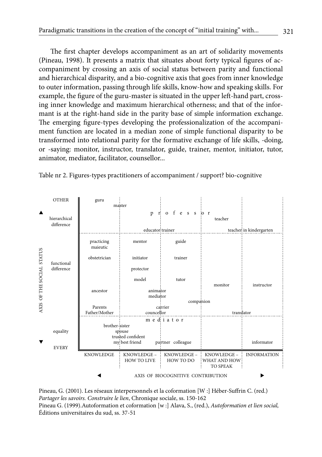The first chapter develops accompaniment as an art of solidarity movements (Pineau, 1998). It presents a matrix that situates about forty typical figures of accompaniment by crossing an axis of social status between parity and functional and hierarchical disparity, and a bio-cognitive axis that goes from inner knowledge to outer information, passing through life skills, know-how and speaking skills. For example, the figure of the guru-master is situated in the upper left-hand part, crossing inner knowledge and maximum hierarchical otherness; and that of the informant is at the right-hand side in the parity base of simple information exchange. The emerging figure-types developing the professionalization of the accompaniment function are located in a median zone of simple functional disparity to be transformed into relational parity for the formative exchange of life skills, -doing, or -saying: monitor, instructor, translator, guide, trainer, mentor, initiator, tutor, animator, mediator, facilitator, counsellor...



Table nr 2. Figures-types practitioners of accompaniment / support? bio-cognitive

Pineau, G. (2001). Les réseaux interpersonnels et la coformation [W :] Héber-Suffrin C. (red.) *Partager les savoirs. Construire le lien*, Chronique sociale, ss. 150-162 Pineau G. (1999).Autoformation et coformation [w :] Alava, S., (red.), *Autoformation et lien social,*  Éditions universitaires du sud, ss. 37-51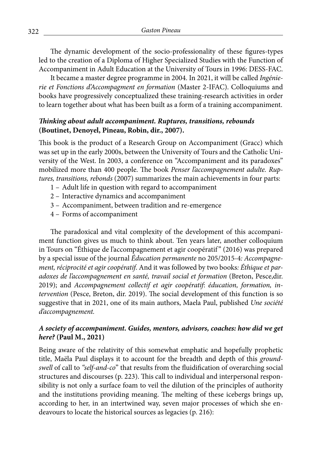The dynamic development of the socio-professionality of these figures-types led to the creation of a Diploma of Higher Specialized Studies with the Function of Accompaniment in Adult Education at the University of Tours in 1996: DESS-FAC.

It became a master degree programme in 2004. In 2021, it will be called *Ingénierie et Fonctions d'Accompagment en formation* (Master 2-IFAC). Colloquiums and books have progressively conceptualized these training-research activities in order to learn together about what has been built as a form of a training accompaniment.

## *Thinking about adult accompaniment. Ruptures, transitions, rebounds* **(Boutinet, Denoyel, Pineau, Robin, dir., 2007).**

This book is the product of a Research Group on Accompaniment (Gracc) which was set up in the early 2000s, between the University of Tours and the Catholic University of the West. In 2003, a conference on "Accompaniment and its paradoxes" mobilized more than 400 people. The book *Penser l'accompagnement adulte. Ruptures, transitions, rebonds* (2007) summarizes the main achievements in four parts:

- 1 Adult life in question with regard to accompaniment
- 2 Interactive dynamics and accompaniment
- 3 Accompaniment, between tradition and re-emergence
- 4 Forms of accompaniment

The paradoxical and vital complexity of the development of this accompaniment function gives us much to think about. Ten years later, another colloquium in Tours on "Éthique de l'accompagnement et agir coopératif" (2016) was prepared by a special issue of the journal *Éducation permanente* no 205/2015-4*: Accompagnement, réciprocité et agir coopératif*. And it was followed by two books*: Éthique et paradoxes de l'accompagnement en santé, travail social et formation* (Breton, Pesce,dir. 2019); and *Accompagnement collectif et agir coopératif*: *éducation, formation, intervention* (Pesce, Breton, dir. 2019). The social development of this function is so suggestive that in 2021, one of its main authors, Maela Paul, published *Une société d'accompagnement.*

## *A society of accompaniment. Guides, mentors, advisors, coaches: how did we get here?* **(Paul M., 2021)**

Being aware of the relativity of this somewhat emphatic and hopefully prophetic title, Maëla Paul displays it to account for the breadth and depth of this *groundswell* of call to *"self-and-co*" that results from the fluidification of overarching social structures and discourses (p. 223). This call to individual and interpersonal responsibility is not only a surface foam to veil the dilution of the principles of authority and the institutions providing meaning. The melting of these icebergs brings up, according to her, in an intertwined way, seven major processes of which she endeavours to locate the historical sources as legacies (p. 216):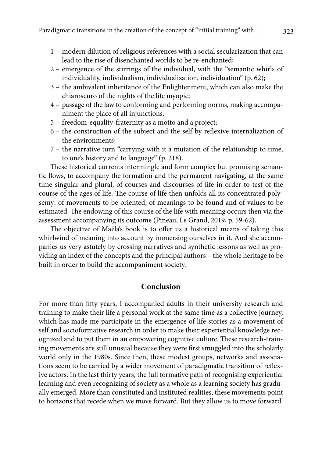- 1 modern dilution of religious references with a social secularization that can lead to the rise of disenchanted worlds to be re-enchanted;
- 2 emergence of the stirrings of the individual, with the "semantic whirls of individuality, individualism, individualization, individuation" (p. 62);
- 3 the ambivalent inheritance of the Enlightenment, which can also make the chiaroscuro of the nights of the life myopic;
- 4 passage of the law to conforming and performing norms, making accompaniment the place of all injunctions,
- 5 freedom-equality-fraternity as a motto and a project;
- 6 the construction of the subject and the self by reflexive internalization of the environments;
- 7 the narrative turn "carrying with it a mutation of the relationship to time, to one's history and to language" (p. 218).

These historical currents intermingle and form complex but promising semantic flows, to accompany the formation and the permanent navigating, at the same time singular and plural, of courses and discourses of life in order to test of the course of the ages of life. The course of life then unfolds all its concentrated polysemy: of movements to be oriented, of meanings to be found and of values to be estimated. The endowing of this course of the life with meaning occurs then via the assessment accompanying its outcome (Pineau, Le Grand, 2019, p. 59-62).

The objective of Maëla's book is to offer us a historical means of taking this whirlwind of meaning into account by immersing ourselves in it. And she accompanies us very astutely by crossing narratives and synthetic lessons as well as providing an index of the concepts and the principal authors – the whole heritage to be built in order to build the accompaniment society.

#### **Conclusion**

For more than fifty years, I accompanied adults in their university research and training to make their life a personal work at the same time as a collective journey, which has made me participate in the emergence of life stories as a movement of self and socioformative research in order to make their experiential knowledge recognized and to put them in an empowering cognitive culture. These research-training movements are still unusual because they were first smuggled into the scholarly world only in the 1980s. Since then, these modest groups, networks and associations seem to be carried by a wider movement of paradigmatic transition of reflexive actors. In the last thirty years, the full formative path of recognising experiential learning and even recognizing of society as a whole as a learning society has gradually emerged. More than constituted and instituted realities, these movements point to horizons that recede when we move forward. But they allow us to move forward.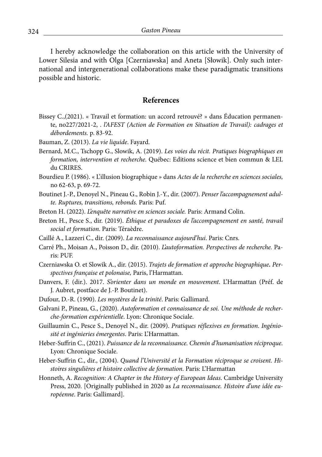I hereby acknowledge the collaboration on this article with the University of Lower Silesia and with Olga [Czerniawska] and Aneta [Słowik]. Only such international and intergenerational collaborations make these paradigmatic transitions possible and historic.

#### **References**

- Bissey C.,(2021). « Travail et formation: un accord retrouvé? » dans Éducation permanente, no227/2021-2, . *l'AFEST (Action de Formation en Situation de Travail): cadrages et débordements.* p. 83-92.
- Bauman, Z. (2013). *La vie liquide*. Fayard.
- Bernard, M.C., Tschopp G., Slowik, A. (2019). *Les voies du récit. Pratiques biographiques en formation, intervention et recherche*. Québec: Editions science et bien commun & LEL du CRIRES.
- Bourdieu P. (1986). « L'illusion biographique » dans *Actes de la recherche en sciences sociales,* no 62-63, p. 69-72.
- Boutinet J.-P., Denoyel N., Pineau G., Robin J.-Y., dir. (2007). *Penser l'accompagnement adulte. Ruptures, transitions, rebonds.* Paris: Puf.
- Breton H. (2022). *L'enquête narrative en sciences sociale.* Paris: Armand Colin.
- Breton H., Pesce S., dir. (2019). *Éthique et paradoxes de l'accompagnement en santé, travail social et formation*. Paris: Téraèdre.
- Caillé A., Lazzeri C., dir. (2009). *La reconnaissance aujourd'hui*. Paris: Cnrs.
- Carré Ph., Moisan A., Poisson D., dir. (2010). *L'autoformation. Perspectives de recherche.* Paris: PUF.
- Czerniawska O. et Slowik A., dir. (2015). *Trajets de formation et approche biographique. Perspectives française et polonaise,* Paris, l'Harmattan.
- Danvers, F. (dir.). 2017. *S'orienter dans un monde en mouvement*. L'Harmattan (Préf. de J. Aubret, postface de J.-P. Boutinet).
- Dufour, D.-R. (1990). *Les mystères de la trinité*. Paris: Gallimard.
- Galvani P., Pineau, G., (2020). *Autoformation et connaissance de soi. Une méthode de recherche-formation expérientielle*. Lyon: Chronique Sociale.
- Guillaumin C., Pesce S., Denoyel N., dir. (2009). *Pratiques réflexives en formation. Ingéniosité et ingénieries émergentes*. Paris: L'Harmattan.
- Heber-Suffrin C., (2021). *Puissance de la reconnaissance. Chemin d'humanisation réciproque.* Lyon: Chronique Sociale.
- Heber-Suffrin C., dir., (2004). *Quand l'Université et la Formation réciproque se croisent. Histoires singulières et histoire collective de formation.* Paris: L'Harmattan
- Honneth, A. *Recognition: A Chapter in the History of European Ideas*. Cambridge University Press, 2020. [Originally published in 2020 as *La reconnaissance. Histoire d'une idée européenne*. Paris: Gallimard].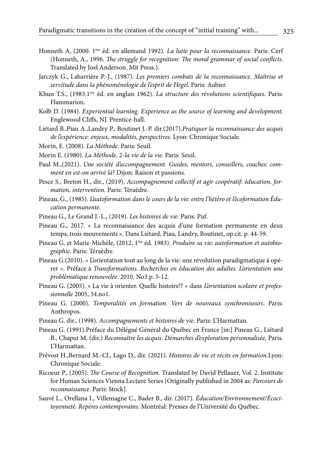- Honneth A, (2000. 1ère éd. en allemand 1992)*. La lutte pour la reconnaissance.* Paris: Cerf (Honneth, A., 1996. *The struggle for recognition: The moral grammar of social conflicts*. Translated by Joel Anderson. Mit Press.).
- Jarczyk G., Labarrière P.-J., (1987). *Les premiers combats de la reconnaissance. Maîtrise et servitude dans la phénoménologie de l'esprit de Hegel*. Paris: Aubier.
- Khun T.S., (1983.1ère éd. en anglais 1962). *La structure des révolutions scientifiques*. Paris: Flammarion.
- Kolb D. (1984). *Experiential learning. Experience as the source of learning and development*. Englewood Cliffs, NJ. Prentice-hall.
- Liétard B.,Piau A.,Landry P., Boutinet J.-P. dir.(2017).*Pratiquer la reconnaissance des acquis de l'expérience: enjeux, modalités, perspectives.* Lyon: Chronique Sociale.
- Morin, E. (2008). *La Méthode*. Paris: Seuil.
- Morin E. (1980). *La Méthode*. 2-*la vie de la vie.* Paris: Seuil.
- Paul M.,(2021). *Une société d'accompagnement. Guides, mentors, conseillers, coaches: comment en est-on arrivé là*? Dijon: Raison et passions.
- Pesce S., Breton H., dir., (2019). *Accompagnement collectif et agir coopératif: éducation, formation, intervention.* Paris: Téraèdre.
- Pineau, G., (1985). *L'autoformation dans le cours de la vie: entre l'hétéro et l'écoformation Éducation permanente.*
- Pineau G., Le Grand J.-L., (2019). *Les histoires de vie.* Paris: Puf.
- Pineau G., 2017. « La reconnaissance des acquis d'une formation permanente en deux temps, trois mouvements ». Dans Liétard, Piau, Landry, Boutinet, op.cit. p. 44-59.
- Pineau G. et Marie-Michèle, (2012, 1ère éd. 1983). *Produire sa vie: autoformation et autobiographie*. Paris: Téraèdre.
- Pineau G.(2010). « L'orientation tout au long de la vie: une révolution paradigmatique à opérer ». Préface à *Transformations. Recherches en éducation des adultes. L'orientation une problématique renouvelée*. 2010. No3 p. 5-12.
- Pineau G. (2005). « La vie à orienter. Quelle histoire!? » dans *L'orientation scolaire et professionnelle* 2005, 34.no1.
- Pineau G. (2000). *Temporalités en formation. Vers de nouveaux synchroniseurs*. Paris: Anthropos.
- Pineau G. dir., (1998). *Accompagnements et histoires de vie*. Paris: L'Harmattan.
- Pineau G. (1991).Préface du Délégué Général du Québec en France [in:] Pineau G., Liétard B., Chaput M. (dir.) *Reconnaître les acquis. Démarches d'exploration personnalisée,* Paris. L'Harmattan.
- Prévost H.,Bernard M.-Cl., Lago D., dir. (2021). *Histoires de vie et récits en formation.*Lyon: Chronique Sociale.
- Ricoeur P., (2005). *The Course of Recognition.* Translated by David Pellauer, Vol. 2. Institute for Human Sciences Vienna Lecture Series [Originally published in 2004 as: *Parcours de reconnaissance*. Paris: Stock].
- Sauvé L., Orellana I., Villemagne C., Bader B., dir. (2017). *Éducation/Environnement/Écocitoyenneté. Repères contemporains*. Montréal: Presses de l'Université du Québec.